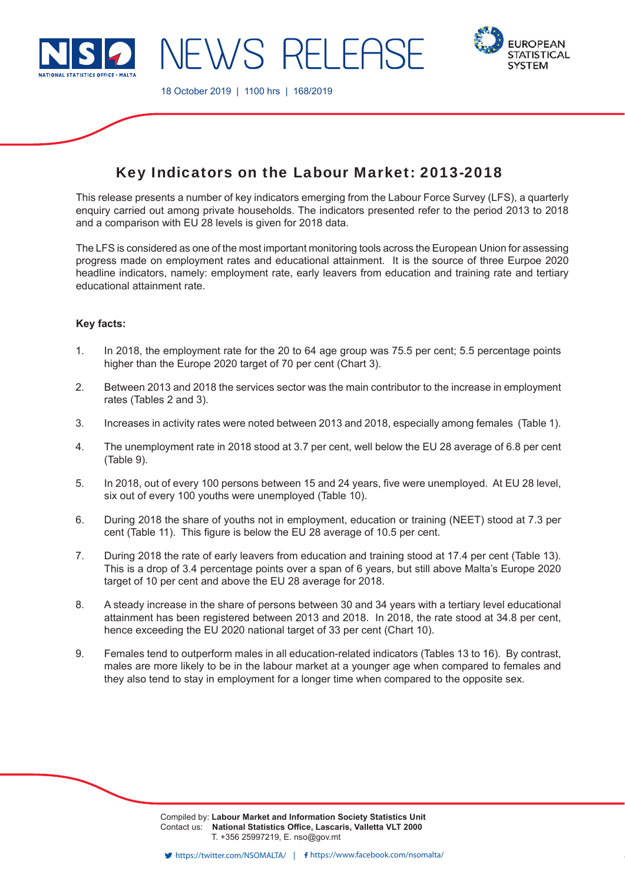

EWS RELEAS



18 October 2019 | 1100 hrs | 168/2019

# Key Indicators on the Labour Market: 2013-2018

This release presents a number of key indicators emerging from the Labour Force Survey (LFS), a quarterly enquiry carried out among private households. The indicators presented refer to the period 2013 to 2018 and a comparison with EU 28 levels is given for 2018 data.

The LFS is considered as one of the most important monitoring tools across the European Union for assessing progress made on employment rates and educational attainment. It is the source of three Eurpoe 2020 headline indicators, namely: employment rate, early leavers from education and training rate and tertiary educational attainment rate.

### **Key facts:**

- 1. In 2018, the employment rate for the 20 to 64 age group was 75.5 per cent; 5.5 percentage points higher than the Europe 2020 target of 70 per cent (Chart 3).
- 2. Between 2013 and 2018 the services sector was the main contributor to the increase in employment rates (Tables 2 and 3).
- 3. Increases in activity rates were noted between 2013 and 2018, especially among females (Table 1).
- 4. The unemployment rate in 2018 stood at 3.7 per cent, well below the EU 28 average of 6.8 per cent (Table 9).
- 5. In 2018, out of every 100 persons between 15 and 24 years, five were unemployed. At EU 28 level, six out of every 100 youths were unemployed (Table 10).
- 6. During 2018 the share of youths not in employment, education or training (NEET) stood at 7.3 per cent (Table 11). This figure is below the EU 28 average of 10.5 per cent.
- 7. During 2018 the rate of early leavers from education and training stood at 17.4 per cent (Table 13). This is a drop of 3.4 percentage points over a span of 6 years, but still above Malta's Europe 2020 target of 10 per cent and above the EU 28 average for 2018.
- 8. A steady increase in the share of persons between 30 and 34 years with a tertiary level educational attainment has been registered between 2013 and 2018. In 2018, the rate stood at 34.8 per cent, hence exceeding the EU 2020 national target of 33 per cent (Chart 10).
- 9. Females tend to outperform males in all education-related indicators (Tables 13 to 16). By contrast, males are more likely to be in the labour market at a younger age when compared to females and they also tend to stay in employment for a longer time when compared to the opposite sex.

Compiled by: **Labour Market and Information Society Statistics Unit** Contact us: National Statistics Office, Lascaris, Valletta VLT 2000 T. +356 25997219, E. nso@gov.mt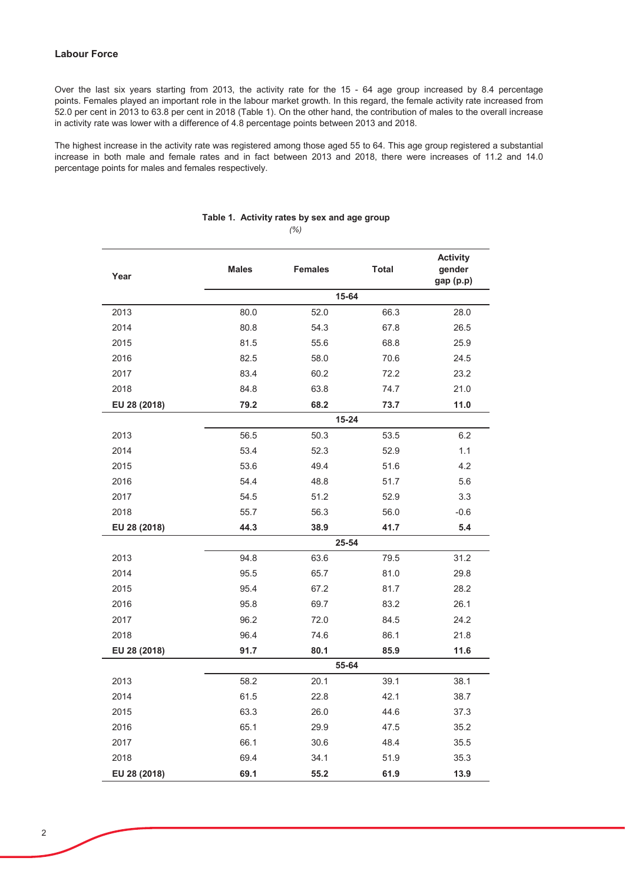### **Labour Force**

Over the last six years starting from 2013, the activity rate for the 15 - 64 age group increased by 8.4 percentage points. Females played an important role in the labour market growth. In this regard, the female activity rate increased from 52.0 per cent in 2013 to 63.8 per cent in 2018 (Table 1). On the other hand, the contribution of males to the overall increase in activity rate was lower with a difference of 4.8 percentage points between 2013 and 2018.

The highest increase in the activity rate was registered among those aged 55 to 64. This age group registered a substantial increase in both male and female rates and in fact between 2013 and 2018, there were increases of 11.2 and 14.0 percentage points for males and females respectively.

| Year         | <b>Males</b> | <b>Females</b> | <b>Total</b> | <b>Activity</b><br>gender<br>gap (p.p) |  |  |
|--------------|--------------|----------------|--------------|----------------------------------------|--|--|
|              |              | 15-64          |              |                                        |  |  |
| 2013         | 80.0         | 52.0           | 66.3         | 28.0                                   |  |  |
| 2014         | 80.8         | 54.3           | 67.8         | 26.5                                   |  |  |
| 2015         | 81.5         | 55.6           | 68.8         | 25.9                                   |  |  |
| 2016         | 82.5         | 58.0           | 70.6         | 24.5                                   |  |  |
| 2017         | 83.4         | 60.2           | 72.2         | 23.2                                   |  |  |
| 2018         | 84.8         | 63.8           | 74.7         | 21.0                                   |  |  |
| EU 28 (2018) | 79.2         | 68.2           | 73.7         | 11.0                                   |  |  |
|              |              | 15-24          |              |                                        |  |  |
| 2013         | 56.5         | 50.3           | 53.5         | 6.2                                    |  |  |
| 2014         | 53.4         | 52.3           | 52.9         | 1.1                                    |  |  |
| 2015         | 53.6         | 49.4           | 51.6         | 4.2                                    |  |  |
| 2016         | 54.4         | 48.8           | 51.7         | 5.6                                    |  |  |
| 2017         | 54.5         | 51.2           | 52.9         | 3.3                                    |  |  |
| 2018         | 55.7         | 56.3           | 56.0         | $-0.6$                                 |  |  |
| EU 28 (2018) | 44.3         | 38.9           | 41.7         | 5.4                                    |  |  |
|              |              | 25-54          |              |                                        |  |  |
| 2013         | 94.8         | 63.6           | 79.5         | 31.2                                   |  |  |
| 2014         | 95.5         | 65.7           | 81.0         | 29.8                                   |  |  |
| 2015         | 95.4         | 67.2           | 81.7         | 28.2                                   |  |  |
| 2016         | 95.8         | 69.7           | 83.2         | 26.1                                   |  |  |
| 2017         | 96.2         | 72.0           | 84.5         | 24.2                                   |  |  |
| 2018         | 96.4         | 74.6           | 86.1         | 21.8                                   |  |  |
| EU 28 (2018) | 91.7         | 80.1           | 85.9         | 11.6                                   |  |  |
|              |              | 55-64          |              |                                        |  |  |
| 2013         | 58.2         | 20.1           | 39.1         | 38.1                                   |  |  |
| 2014         | 61.5         | 22.8           | 42.1         | 38.7                                   |  |  |
| 2015         | 63.3         | 26.0           | 44.6         | 37.3                                   |  |  |
| 2016         | 65.1         | 29.9           | 47.5         | 35.2                                   |  |  |
| 2017         | 66.1         | 30.6           | 48.4         | 35.5                                   |  |  |
| 2018         | 69.4         | 34.1           | 51.9         | 35.3                                   |  |  |
| EU 28 (2018) | 69.1         | 55.2           | 61.9         | 13.9                                   |  |  |

## Table 1. Activity rates by sex and age group

*(%)*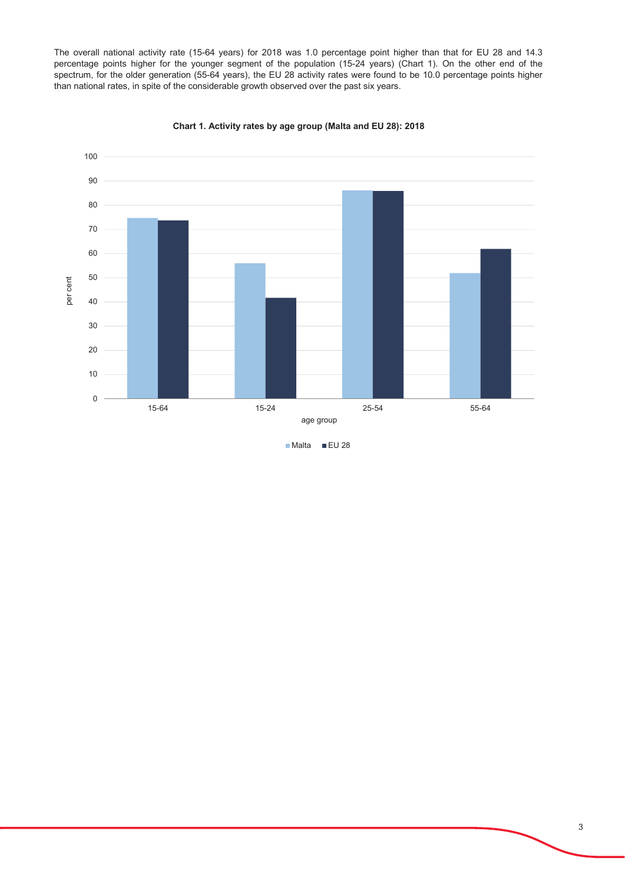The overall national activity rate (15-64 years) for 2018 was 1.0 percentage point higher than that for EU 28 and 14.3 percentage points higher for the younger segment of the population (15-24 years) (Chart 1). On the other end of the spectrum, for the older generation (55-64 years), the EU 28 activity rates were found to be 10.0 percentage points higher than national rates, in spite of the considerable growth observed over the past six years.



Chart 1. Activity rates by age group (Malta and EU 28): 2018

Malta EU 28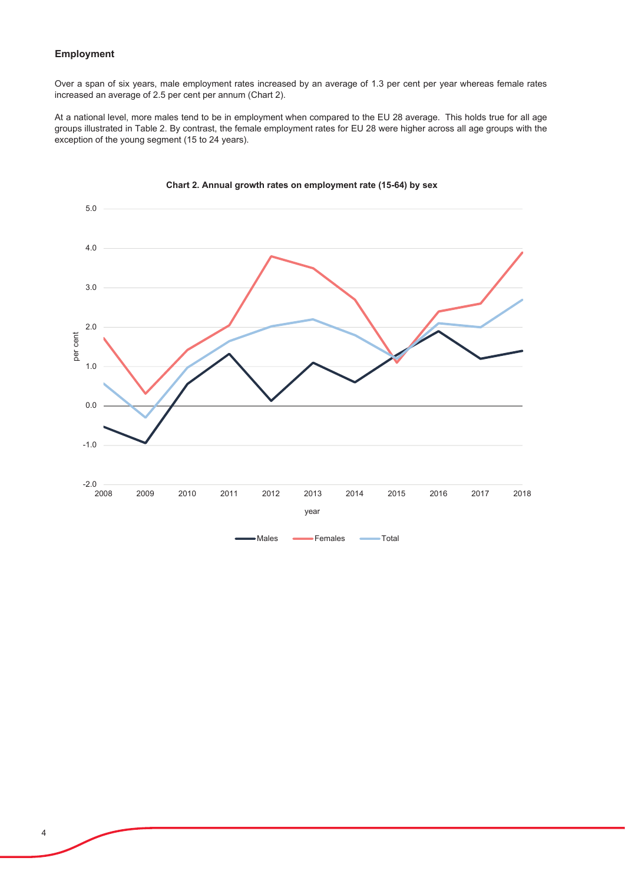### Employment

Over a span of six years, male employment rates increased by an average of 1.3 per cent per year whereas female rates increased an average of 2.5 per cent per annum (Chart 2).

At a national level, more males tend to be in employment when compared to the EU 28 average. This holds true for all age groups illustrated in Table 2. By contrast, the female employment rates for EU 28 were higher across all age groups with the exception of the young segment (15 to 24 years).



### Chart 2. Annual growth rates on employment rate (15-64) by sex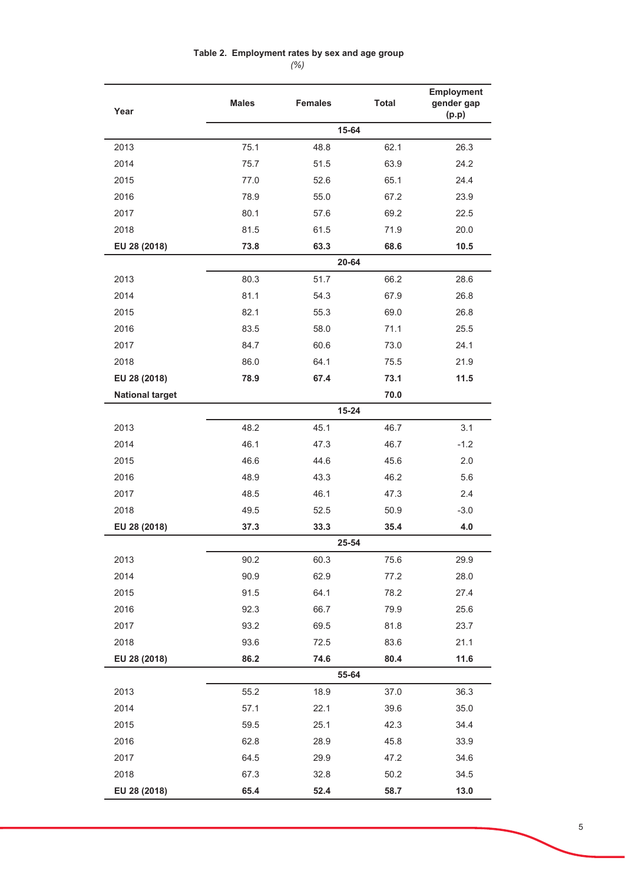## Table 2. Employment rates by sex and age group

 $(% )$ 

| Year                   | <b>Males</b> | <b>Females</b> | <b>Total</b> | Employment<br>gender gap<br>(p.p) |  |  |
|------------------------|--------------|----------------|--------------|-----------------------------------|--|--|
|                        | 15-64        |                |              |                                   |  |  |
| 2013                   | 75.1         | 48.8           | 62.1         | 26.3                              |  |  |
| 2014                   | 75.7         | 51.5           | 63.9         | 24.2                              |  |  |
| 2015                   | 77.0         | 52.6           | 65.1         | 24.4                              |  |  |
| 2016                   | 78.9         | 55.0           | 67.2         | 23.9                              |  |  |
| 2017                   | 80.1         | 57.6           | 69.2         | 22.5                              |  |  |
| 2018                   | 81.5         | 61.5           | 71.9         | 20.0                              |  |  |
| EU 28 (2018)           | 73.8         | 63.3           | 68.6         | 10.5                              |  |  |
|                        |              |                | 20-64        |                                   |  |  |
| 2013                   | 80.3         | 51.7           | 66.2         | 28.6                              |  |  |
| 2014                   | 81.1         | 54.3           | 67.9         | 26.8                              |  |  |
| 2015                   | 82.1         | 55.3           | 69.0         | 26.8                              |  |  |
| 2016                   | 83.5         | 58.0           | 71.1         | 25.5                              |  |  |
| 2017                   | 84.7         | 60.6           | 73.0         | 24.1                              |  |  |
| 2018                   | 86.0         | 64.1           | 75.5         | 21.9                              |  |  |
| EU 28 (2018)           | 78.9         | 67.4           | 73.1         | 11.5                              |  |  |
| <b>National target</b> |              |                | 70.0         |                                   |  |  |
|                        |              |                | $15 - 24$    |                                   |  |  |
| 2013                   | 48.2         | 45.1           | 46.7         | 3.1                               |  |  |
| 2014                   | 46.1         | 47.3           | 46.7         | $-1.2$                            |  |  |
| 2015                   | 46.6         | 44.6           | 45.6         | 2.0                               |  |  |
| 2016                   | 48.9         | 43.3           | 46.2         | 5.6                               |  |  |
| 2017                   | 48.5         | 46.1           | 47.3         | 2.4                               |  |  |
| 2018                   | 49.5         | 52.5           | 50.9         | $-3.0$                            |  |  |
| EU 28 (2018)           | 37.3         | 33.3           | 35.4         | 4.0                               |  |  |
|                        |              |                | 25-54        |                                   |  |  |
| 2013                   | 90.2         | 60.3           | 75.6         | 29.9                              |  |  |
| 2014                   | 90.9         | 62.9           | 77.2         | 28.0                              |  |  |
| 2015                   | 91.5         | 64.1           | 78.2         | 27.4                              |  |  |
| 2016                   | 92.3         | 66.7           | 79.9         | 25.6                              |  |  |
| 2017                   | 93.2         | 69.5           | 81.8         | 23.7                              |  |  |
| 2018                   | 93.6         | 72.5           | 83.6         | 21.1                              |  |  |
| EU 28 (2018)           | 86.2         | 74.6           | 80.4         | 11.6                              |  |  |
|                        |              |                | 55-64        |                                   |  |  |
| 2013                   | 55.2         | 18.9           | 37.0         | 36.3                              |  |  |
| 2014                   | 57.1         | 22.1           | 39.6         | 35.0                              |  |  |
| 2015                   | 59.5         | 25.1           | 42.3         | 34.4                              |  |  |
| 2016                   | 62.8         | 28.9           | 45.8         | 33.9                              |  |  |
| 2017                   | 64.5         | 29.9           | 47.2         | 34.6                              |  |  |
| 2018                   | 67.3         | 32.8           | 50.2         | 34.5                              |  |  |
| EU 28 (2018)           | 65.4         | 52.4           | 58.7         | 13.0                              |  |  |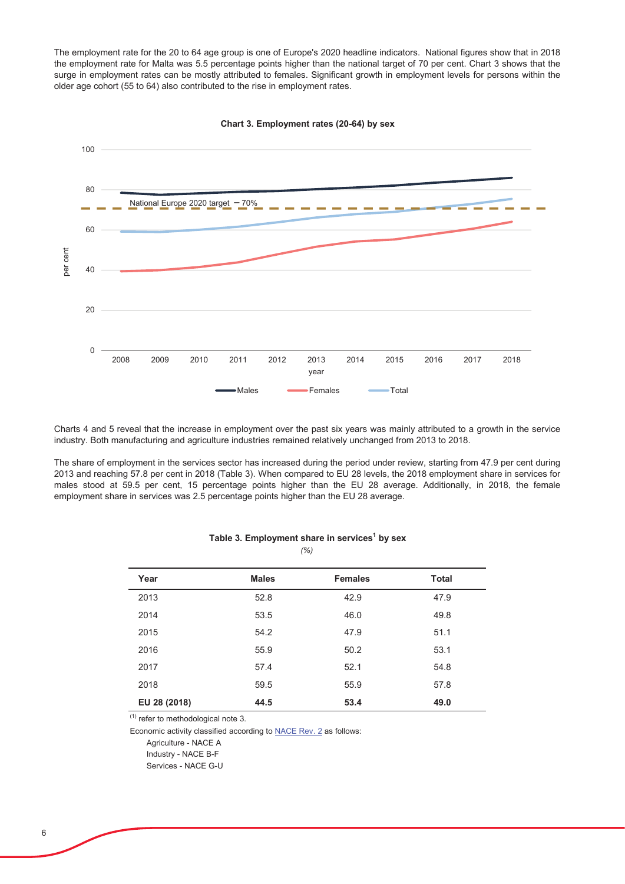The employment rate for the 20 to 64 age group is one of Europe's 2020 headline indicators. National figures show that in 2018 the employment rate for Malta was 5.5 percentage points higher than the national target of 70 per cent. Chart 3 shows that the surge in employment rates can be mostly attributed to females. Significant growth in employment levels for persons within the older age cohort (55 to 64) also contributed to the rise in employment rates.



Chart 3. Employment rates (20-64) by sex

Charts 4 and 5 reveal that the increase in employment over the past six years was mainly attributed to a growth in the service industry. Both manufacturing and agriculture industries remained relatively unchanged from 2013 to 2018.

The share of employment in the services sector has increased during the period under review, starting from 47.9 per cent during 2013 and reaching 57.8 per cent in 2018 (Table 3). When compared to EU 28 levels, the 2018 employment share in services for males stood at 59.5 per cent, 15 percentage points higher than the EU 28 average. Additionally, in 2018, the female employment share in services was 2.5 percentage points higher than the EU 28 average.

| Year         | <b>Males</b> | <b>Females</b> | <b>Total</b> |
|--------------|--------------|----------------|--------------|
| 2013         | 52.8         | 42.9           | 47.9         |
| 2014         | 53.5         | 46.0           | 49.8         |
| 2015         | 54.2         | 47.9           | 51.1         |
| 2016         | 55.9         | 50.2           | 53.1         |
| 2017         | 57.4         | 52.1           | 54.8         |
| 2018         | 59.5         | 55.9           | 57.8         |
| EU 28 (2018) | 44.5         | 53.4           | 49.0         |

#### Table 3. Employment share in services<sup>1</sup> by sex  $(% )$

 $(1)$  refer to methodological note 3.

Economic activity classified according to NACE Rev. 2 as follows:

Agriculture - NACE A

Industry - NACE B-F

Services - NACE G-U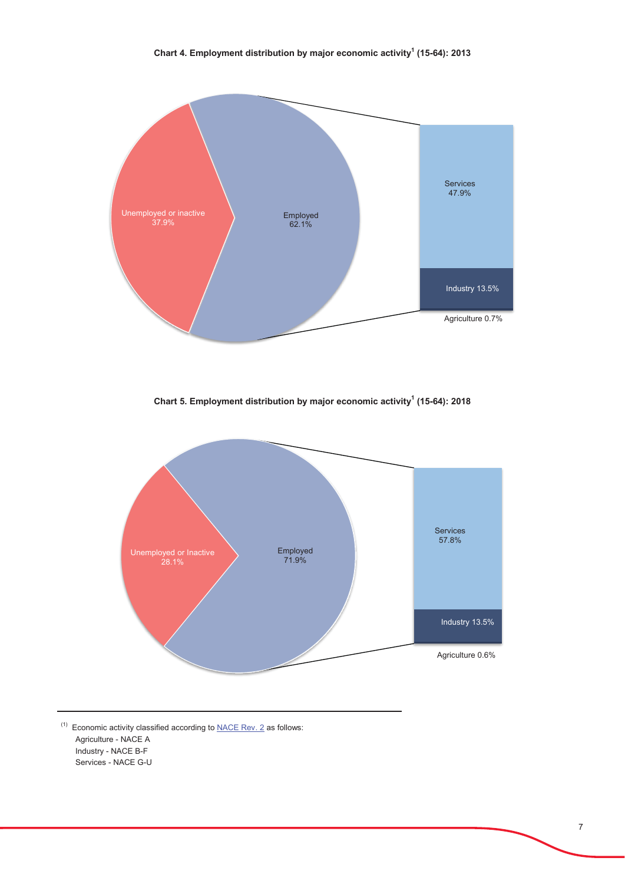

Chart 5. Employment distribution by major economic activity<sup>1</sup> (15-64): 2018



 $^{(1)}$  Economic activity classified according to NACE Rev. 2 as follows: Agriculture - NACE A Industry - NACE B-F Services - NACE G-U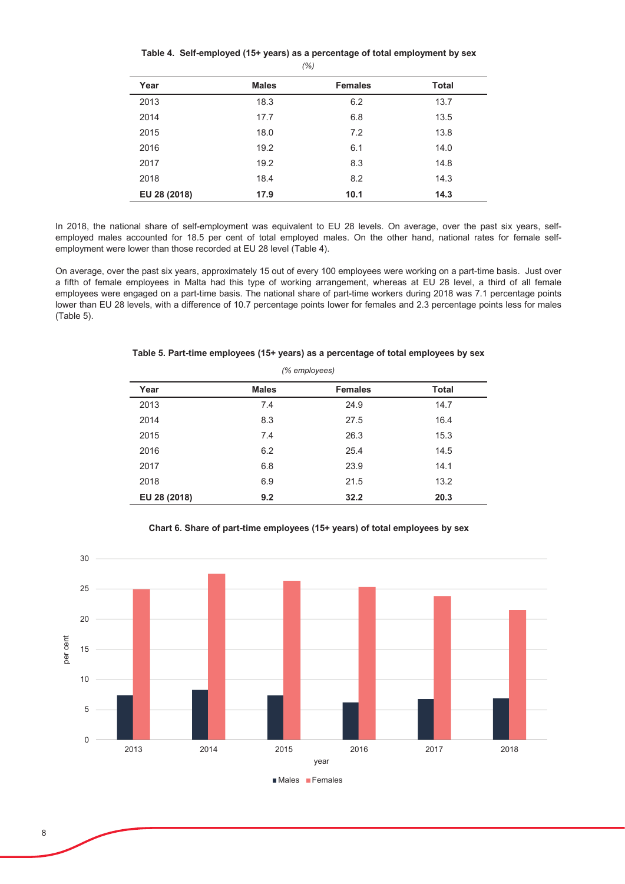### Table 4. Self-employed (15+ years) as a percentage of total employment by sex *(%)*

|              |              | $\cdots$       |              |
|--------------|--------------|----------------|--------------|
| Year         | <b>Males</b> | <b>Females</b> | <b>Total</b> |
| 2013         | 18.3         | 6.2            | 13.7         |
| 2014         | 17.7         | 6.8            | 13.5         |
| 2015         | 18.0         | 7.2            | 13.8         |
| 2016         | 19.2         | 6.1            | 14.0         |
| 2017         | 19.2         | 8.3            | 14.8         |
| 2018         | 18.4         | 8.2            | 14.3         |
| EU 28 (2018) | 17.9         | 10.1           | 14.3         |

In 2018, the national share of self-employment was equivalent to EU 28 levels. On average, over the past six years, selfemployed males accounted for 18.5 per cent of total employed males. On the other hand, national rates for female selfemployment were lower than those recorded at EU 28 level (Table 4).

On average, over the past six years, approximately 15 out of every 100 employees were working on a part-time basis. Just over a fifth of female employees in Malta had this type of working arrangement, whereas at EU 28 level, a third of all female employees were engaged on a part-time basis. The national share of part-time workers during 2018 was 7.1 percentage points lower than EU 28 levels, with a difference of 10.7 percentage points lower for females and 2.3 percentage points less for males  $(Table 5)$ .

| (% employees) |              |                |              |  |
|---------------|--------------|----------------|--------------|--|
| Year          | <b>Males</b> | <b>Females</b> | <b>Total</b> |  |
| 2013          | 7.4          | 24.9           | 14.7         |  |
| 2014          | 8.3          | 27.5           | 16.4         |  |
| 2015          | 7.4          | 26.3           | 15.3         |  |
| 2016          | 6.2          | 25.4           | 14.5         |  |
| 2017          | 6.8          | 23.9           | 14.1         |  |
| 2018          | 6.9          | 21.5           | 13.2         |  |
| EU 28 (2018)  | 9.2          | 32.2           | 20.3         |  |

#### Table 5. Part-time employees (15+ years) as a percentage of total employees by sex



### Chart 6. Share of part-time employees (15+ years) of total employees by sex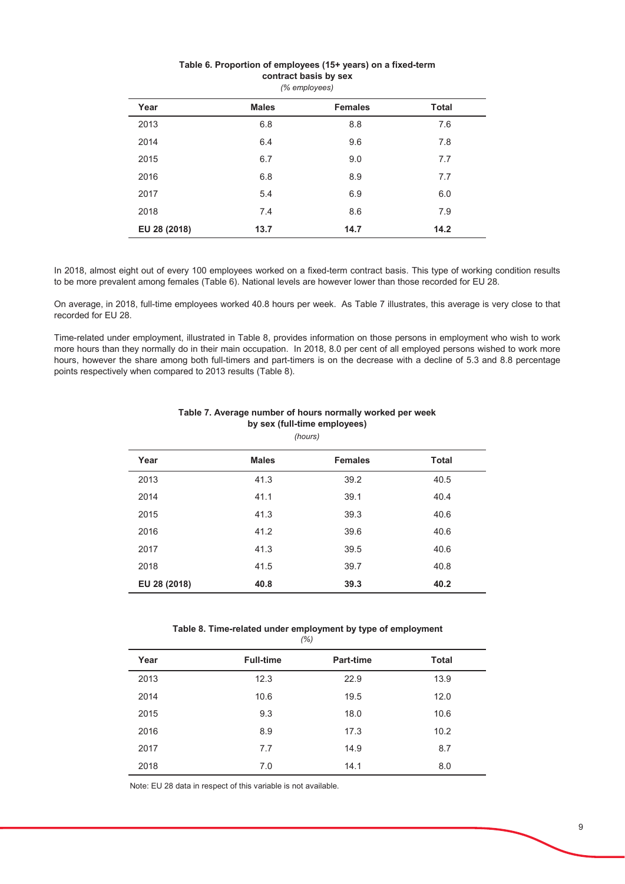| (% employees) |              |                |              |  |
|---------------|--------------|----------------|--------------|--|
| Year          | <b>Males</b> | <b>Females</b> | <b>Total</b> |  |
| 2013          | 6.8          | 8.8            | 7.6          |  |
| 2014          | 6.4          | 9.6            | 7.8          |  |
| 2015          | 6.7          | 9.0            | 7.7          |  |
| 2016          | 6.8          | 8.9            | 7.7          |  |
| 2017          | 5.4          | 6.9            | 6.0          |  |
| 2018          | 7.4          | 8.6            | 7.9          |  |
| EU 28 (2018)  | 13.7         | 14.7           | 14.2         |  |

#### Table 6. Proportion of employees (15+ years) on a fixed-term contract basis by sex

In 2018, almost eight out of every 100 employees worked on a fixed-term contract basis. This type of working condition results to be more prevalent among females (Table 6). National levels are however lower than those recorded for EU 28.

On average, in 2018, full-time employees worked 40.8 hours per week. As Table 7 illustrates, this average is very close to that recorded for EU 28.

Time-related under employment, illustrated in Table 8, provides information on those persons in employment who wish to work more hours than they normally do in their main occupation. In 2018, 8.0 per cent of all employed persons wished to work more hours, however the share among both full-timers and part-timers is on the decrease with a decline of 5.3 and 8.8 percentage points respectively when compared to 2013 results (Table 8).

| (hours)      |              |                |              |  |
|--------------|--------------|----------------|--------------|--|
| Year         | <b>Males</b> | <b>Females</b> | <b>Total</b> |  |
| 2013         | 41.3         | 39.2           | 40.5         |  |
| 2014         | 41.1         | 39.1           | 40.4         |  |
| 2015         | 41.3         | 39.3           | 40.6         |  |
| 2016         | 41.2         | 39.6           | 40.6         |  |
| 2017         | 41.3         | 39.5           | 40.6         |  |
| 2018         | 41.5         | 39.7           | 40.8         |  |
| EU 28 (2018) | 40.8         | 39.3           | 40.2         |  |

### Table 7. Average number of hours normally worked per week by sex (full-time employees)

### Table 8. Time-related under employment by type of employment

| (% ) |                  |                  |              |
|------|------------------|------------------|--------------|
| Year | <b>Full-time</b> | <b>Part-time</b> | <b>Total</b> |
| 2013 | 12.3             | 22.9             | 13.9         |
| 2014 | 10.6             | 19.5             | 12.0         |
| 2015 | 9.3              | 18.0             | 10.6         |
| 2016 | 8.9              | 17.3             | 10.2         |
| 2017 | 7.7              | 14.9             | 8.7          |
| 2018 | 7.0              | 14.1             | 8.0          |

Note: EU 28 data in respect of this variable is not available.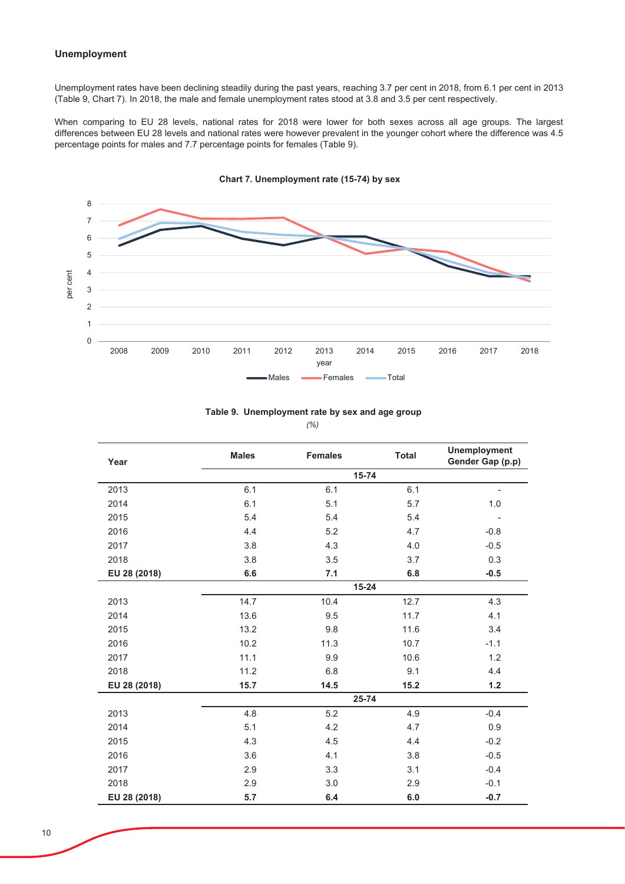### **Unemployment**

Unemployment rates have been declining steadily during the past years, reaching 3.7 per cent in 2018, from 6.1 per cent in 2013 (Table 9, Chart 7). In 2018, the male and female unemployment rates stood at 3.8 and 3.5 per cent respectively.

When comparing to EU 28 levels, national rates for 2018 were lower for both sexes across all age groups. The largest differences between EU 28 levels and national rates were however prevalent in the younger cohort where the difference was 4.5 percentage points for males and 7.7 percentage points for females (Table 9).



Chart 7. Unemployment rate (15-74) by sex

|  | Table 9. Unemployment rate by sex and age group |
|--|-------------------------------------------------|
|--|-------------------------------------------------|

 $(% )$ 

| Year         | <b>Males</b> | <b>Females</b> | <b>Total</b> | <b>Unemployment</b><br>Gender Gap (p.p) |
|--------------|--------------|----------------|--------------|-----------------------------------------|
|              |              | 15-74          |              |                                         |
| 2013         | 6.1          | 6.1            | 6.1          | ٠                                       |
| 2014         | 6.1          | 5.1            | 5.7          | 1.0                                     |
| 2015         | 5.4          | 5.4            | 5.4          |                                         |
| 2016         | 4.4          | 5.2            | 4.7          | $-0.8$                                  |
| 2017         | 3.8          | 4.3            | 4.0          | $-0.5$                                  |
| 2018         | 3.8          | 3.5            | 3.7          | 0.3                                     |
| EU 28 (2018) | 6.6          | 7.1            | 6.8          | $-0.5$                                  |
|              |              | $15 - 24$      |              |                                         |
| 2013         | 14.7         | 10.4           | 12.7         | 4.3                                     |
| 2014         | 13.6         | 9.5            | 11.7         | 4.1                                     |
| 2015         | 13.2         | 9.8            | 11.6         | 3.4                                     |
| 2016         | 10.2         | 11.3           | 10.7         | $-1.1$                                  |
| 2017         | 11.1         | 9.9            | 10.6         | 1.2                                     |
| 2018         | 11.2         | 6.8            | 9.1          | 4.4                                     |
| EU 28 (2018) | 15.7         | 14.5           | 15.2         | $1.2$                                   |
|              |              | 25-74          |              |                                         |
| 2013         | 4.8          | 5.2            | 4.9          | $-0.4$                                  |
| 2014         | 5.1          | 4.2            | 4.7          | 0.9                                     |
| 2015         | 4.3          | 4.5            | 4.4          | $-0.2$                                  |
| 2016         | 3.6          | 4.1            | 3.8          | $-0.5$                                  |
| 2017         | 2.9          | 3.3            | 3.1          | $-0.4$                                  |
| 2018         | 2.9          | 3.0            | 2.9          | $-0.1$                                  |
| EU 28 (2018) | 5.7          | 6.4            | 6.0          | $-0.7$                                  |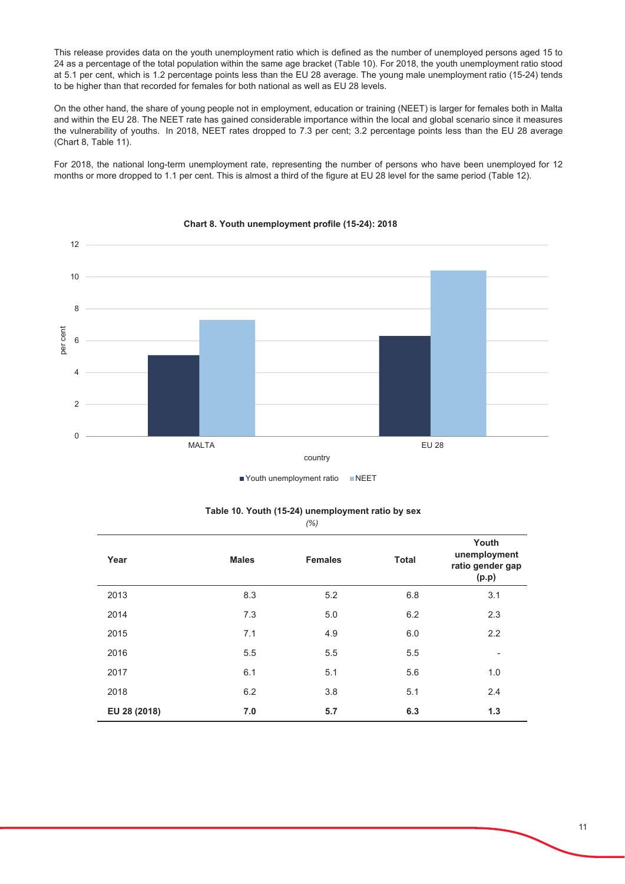This release provides data on the youth unemployment ratio which is defined as the number of unemployed persons aged 15 to 24 as a percentage of the total population within the same age bracket (Table 10). For 2018, the youth unemployment ratio stood at 5.1 per cent, which is 1.2 percentage points less than the EU 28 average. The young male unemployment ratio (15-24) tends to be higher than that recorded for females for both national as well as EU 28 levels.

On the other hand, the share of young people not in employment, education or training (NEET) is larger for females both in Malta and within the EU 28. The NEET rate has gained considerable importance within the local and global scenario since it measures the vulnerability of youths. In 2018, NEET rates dropped to 7.3 per cent; 3.2 percentage points less than the EU 28 average (Chart 8, Table 11).

For 2018, the national long-term unemployment rate, representing the number of persons who have been unemployed for 12 months or more dropped to 1.1 per cent. This is almost a third of the figure at EU 28 level for the same period (Table 12).



### Chart 8. Youth unemployment profile (15-24): 2018

Youth unemployment ratio NEET

| Table 10. Youth (15-24) unemployment ratio by sex |      |  |  |
|---------------------------------------------------|------|--|--|
|                                                   | (% ) |  |  |

| Year         | <b>Males</b> | <b>Females</b> | <b>Total</b> | Youth<br>unemployment<br>ratio gender gap<br>(p.p) |
|--------------|--------------|----------------|--------------|----------------------------------------------------|
| 2013         | 8.3          | 5.2            | 6.8          | 3.1                                                |
| 2014         | 7.3          | 5.0            | 6.2          | 2.3                                                |
| 2015         | 7.1          | 4.9            | 6.0          | 2.2                                                |
| 2016         | 5.5          | 5.5            | 5.5          | $\overline{\phantom{a}}$                           |
| 2017         | 6.1          | 5.1            | 5.6          | 1.0                                                |
| 2018         | 6.2          | 3.8            | 5.1          | 2.4                                                |
| EU 28 (2018) | 7.0          | 5.7            | 6.3          | 1.3                                                |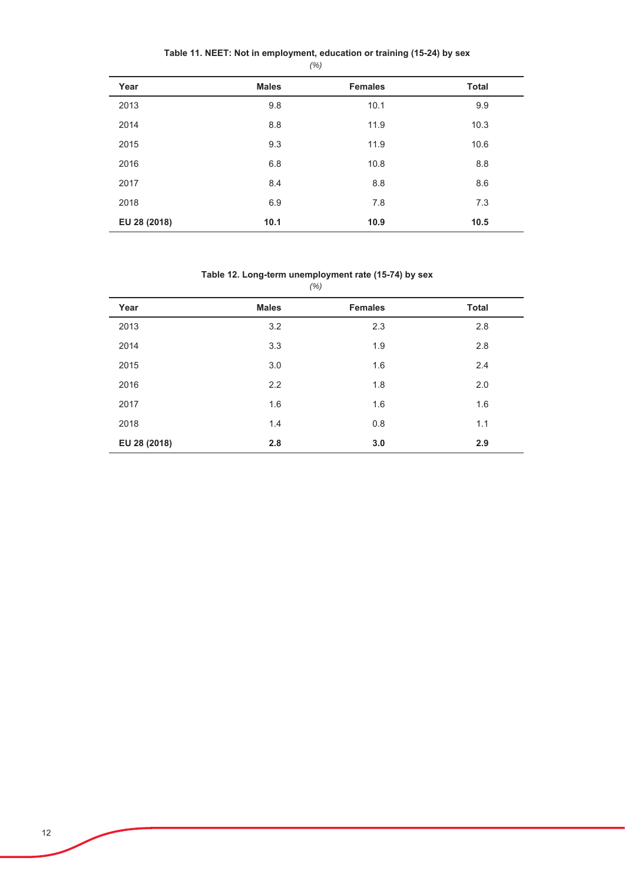| Year         | <b>Males</b> | <b>Females</b> | <b>Total</b> |
|--------------|--------------|----------------|--------------|
| 2013         | 9.8          | 10.1           | 9.9          |
| 2014         | 8.8          | 11.9           | 10.3         |
| 2015         | 9.3          | 11.9           | 10.6         |
| 2016         | 6.8          | 10.8           | 8.8          |
| 2017         | 8.4          | 8.8            | 8.6          |
| 2018         | 6.9          | 7.8            | 7.3          |
| EU 28 (2018) | 10.1         | 10.9           | 10.5         |

### Table 12. Long-term unemployment rate (15-74) by sex

| (% )         |              |                |              |  |  |
|--------------|--------------|----------------|--------------|--|--|
| Year         | <b>Males</b> | <b>Females</b> | <b>Total</b> |  |  |
| 2013         | 3.2          | 2.3            | 2.8          |  |  |
| 2014         | 3.3          | 1.9            | 2.8          |  |  |
| 2015         | 3.0          | 1.6            | 2.4          |  |  |
| 2016         | 2.2          | 1.8            | 2.0          |  |  |
| 2017         | 1.6          | 1.6            | 1.6          |  |  |
| 2018         | 1.4          | 0.8            | 1.1          |  |  |
| EU 28 (2018) | 2.8          | 3.0            | 2.9          |  |  |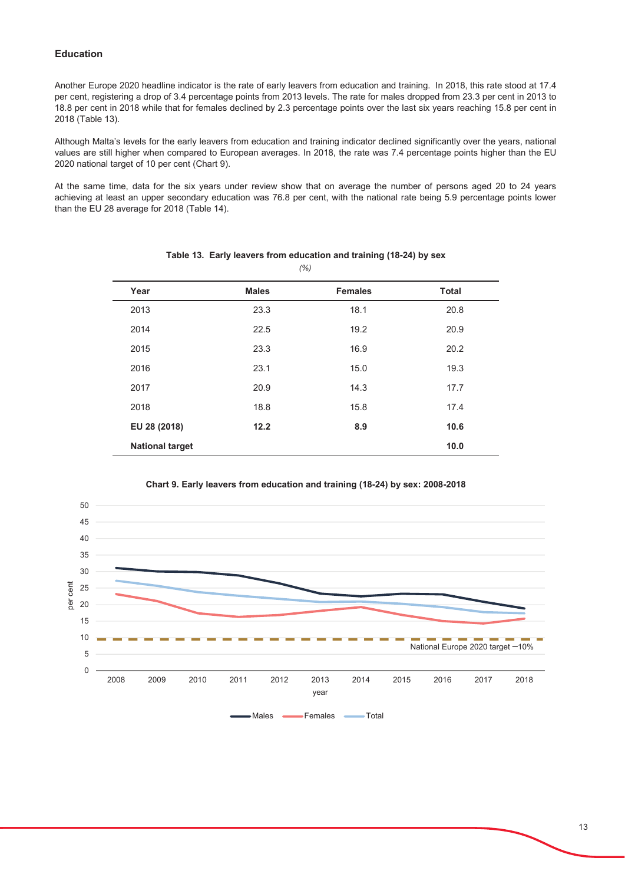### **Education**

Another Europe 2020 headline indicator is the rate of early leavers from education and training. In 2018, this rate stood at 17.4 per cent, registering a drop of 3.4 percentage points from 2013 levels. The rate for males dropped from 23.3 per cent in 2013 to 18.8 per cent in 2018 while that for females declined by 2.3 percentage points over the last six years reaching 15.8 per cent in 2018 (Table 13).

Although Malta's levels for the early leavers from education and training indicator declined significantly over the years, national values are still higher when compared to European averages. In 2018, the rate was 7.4 percentage points higher than the EU 2020 national target of 10 per cent (Chart 9).

At the same time, data for the six years under review show that on average the number of persons aged 20 to 24 years achieving at least an upper secondary education was 76.8 per cent, with the national rate being 5.9 percentage points lower than the EU 28 average for 2018 (Table 14).

| Year                   | <b>Males</b> | <b>Females</b> | <b>Total</b> |
|------------------------|--------------|----------------|--------------|
| 2013                   | 23.3         | 18.1           | 20.8         |
| 2014                   | 22.5         | 19.2           | 20.9         |
| 2015                   | 23.3         | 16.9           | 20.2         |
| 2016                   | 23.1         | 15.0           | 19.3         |
| 2017                   | 20.9         | 14.3           | 17.7         |
| 2018                   | 18.8         | 15.8           | 17.4         |
| EU 28 (2018)           | 12.2         | 8.9            | 10.6         |
| <b>National target</b> |              |                | 10.0         |

Table 13. Early leavers from education and training (18-24) by sex  $(% )$ 



Chart 9. Early leavers from education and training (18-24) by sex: 2008-2018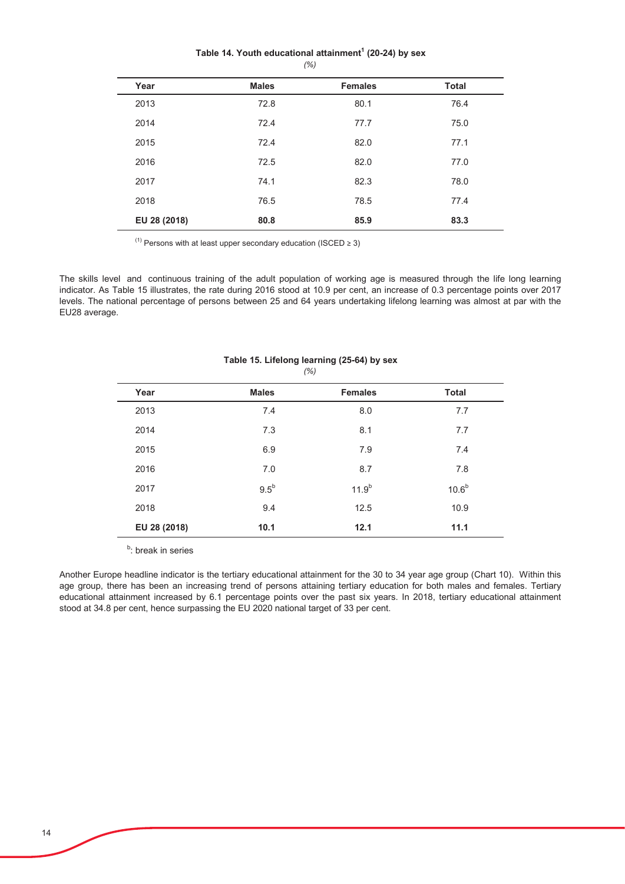### Table 14. Youth educational attainment<sup>1</sup> (20-24) by sex  $(% )$

| Year         | <b>Males</b> | <b>Females</b> | <b>Total</b> |
|--------------|--------------|----------------|--------------|
| 2013         | 72.8         | 80.1           | 76.4         |
| 2014         | 72.4         | 77.7           | 75.0         |
| 2015         | 72.4         | 82.0           | 77.1         |
| 2016         | 72.5         | 82.0           | 77.0         |
| 2017         | 74.1         | 82.3           | 78.0         |
| 2018         | 76.5         | 78.5           | 77.4         |
| EU 28 (2018) | 80.8         | 85.9           | 83.3         |

<sup>(1)</sup> Persons with at least upper secondary education (ISCED  $\geq$  3)

The skills level and continuous training of the adult population of working age is measured through the life long learning indicator. As Table 15 illustrates, the rate during 2016 stood at 10.9 per cent, an increase of 0.3 percentage points over 2017 levels. The national percentage of persons between 25 and 64 years undertaking lifelong learning was almost at par with the EU28 average.

| Year         | <b>Males</b>  | <b>Females</b> | <b>Total</b>      |
|--------------|---------------|----------------|-------------------|
| 2013         | 7.4           | 8.0            | 7.7               |
| 2014         | 7.3           | 8.1            | 7.7               |
| 2015         | 6.9           | 7.9            | 7.4               |
| 2016         | 7.0           | 8.7            | 7.8               |
| 2017         | $9.5^{\rm b}$ | $11.9^{b}$     | 10.6 <sup>b</sup> |
| 2018         | 9.4           | 12.5           | 10.9              |
| EU 28 (2018) | 10.1          | 12.1           | 11.1              |

Table 15. Lifelong learning (25-64) by sex  $(% )$ 

<sup>b</sup>: break in series

Another Europe headline indicator is the tertiary educational attainment for the 30 to 34 year age group (Chart 10). Within this age group, there has been an increasing trend of persons attaining tertiary education for both males and females. Tertiary educational attainment increased by 6.1 percentage points over the past six years. In 2018, tertiary educational attainment stood at 34.8 per cent, hence surpassing the EU 2020 national target of 33 per cent.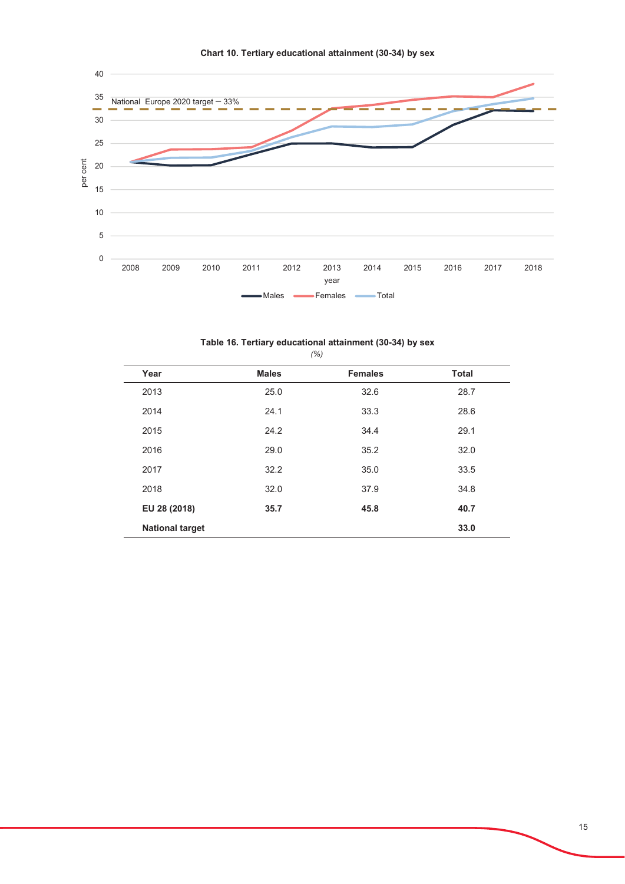

|  |  |  |  | Table 16. Tertiary educational attainment (30-34) by sex |  |  |  |  |
|--|--|--|--|----------------------------------------------------------|--|--|--|--|
|--|--|--|--|----------------------------------------------------------|--|--|--|--|

| Year                   | <b>Males</b> | <b>Females</b> | <b>Total</b> |
|------------------------|--------------|----------------|--------------|
| 2013                   | 25.0         | 32.6           | 28.7         |
| 2014                   | 24.1         | 33.3           | 28.6         |
| 2015                   | 24.2         | 34.4           | 29.1         |
| 2016                   | 29.0         | 35.2           | 32.0         |
| 2017                   | 32.2         | 35.0           | 33.5         |
| 2018                   | 32.0         | 37.9           | 34.8         |
| EU 28 (2018)           | 35.7         | 45.8           | 40.7         |
| <b>National target</b> |              |                | 33.0         |

 $(%)$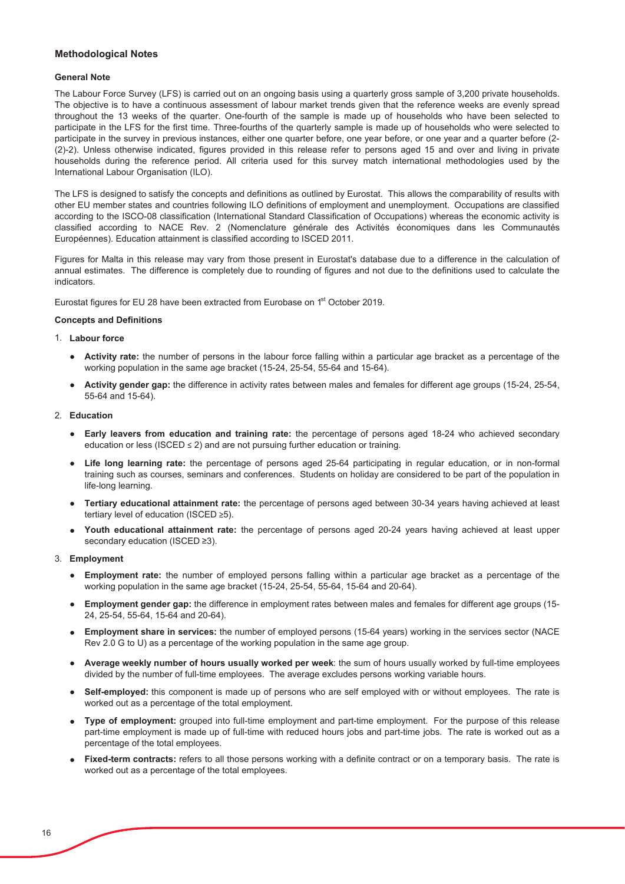### **Methodological Notes**

### **General Note**

The Labour Force Survey (LFS) is carried out on an ongoing basis using a quarterly gross sample of 3,200 private households. The objective is to have a continuous assessment of labour market trends given that the reference weeks are evenly spread throughout the 13 weeks of the quarter. One-fourth of the sample is made up of households who have been selected to participate in the LFS for the first time. Three-fourths of the quarterly sample is made up of households who were selected to participate in the survey in previous instances, either one quarter before, one year before, or one year and a quarter before (2-(2)-2). Unless otherwise indicated, figures provided in this release refer to persons aged 15 and over and living in private households during the reference period. All criteria used for this survey match international methodologies used by the International Labour Organisation (ILO).

The LFS is designed to satisfy the concepts and definitions as outlined by Eurostat. This allows the comparability of results with other EU member states and countries following ILO definitions of employment and unemployment. Occupations are classified according to the ISCO-08 classification (International Standard Classification of Occupations) whereas the economic activity is classified according to NACE Rev. 2 (Nomenclature générale des Activités économiques dans les Communautés Européennes). Education attainment is classified according to ISCED 2011.

Figures for Malta in this release may vary from those present in Eurostat's database due to a difference in the calculation of annual estimates. The difference is completely due to rounding of figures and not due to the definitions used to calculate the indicators.

Eurostat figures for EU 28 have been extracted from Eurobase on 1<sup>st</sup> October 2019.

#### **Concepts and Definitions**

#### 1. Labour force

- Activity rate: the number of persons in the labour force falling within a particular age bracket as a percentage of the working population in the same age bracket (15-24, 25-54, 55-64 and 15-64).
- Activity gender gap: the difference in activity rates between males and females for different age groups (15-24, 25-54,  $55-64$  and  $15-64$ ).

### 2. Education

- Early leavers from education and training rate: the percentage of persons aged 18-24 who achieved secondary education or less (ISCED  $\leq$  2) and are not pursuing further education or training.
- Life long learning rate: the percentage of persons aged 25-64 participating in regular education, or in non-formal training such as courses, seminars and conferences. Students on holiday are considered to be part of the population in life-long learning.
- Tertiary educational attainment rate: the percentage of persons aged between 30-34 years having achieved at least tertiary level of education (ISCED ≥5).
- Youth educational attainment rate: the percentage of persons aged 20-24 years having achieved at least upper secondary education (ISCED ≥3).

### 3. Employment

- Employment rate: the number of employed persons falling within a particular age bracket as a percentage of the working population in the same age bracket (15-24, 25-54, 55-64, 15-64 and 20-64).
- Employment gender gap: the difference in employment rates between males and females for different age groups (15-24, 25-54, 55-64, 15-64 and 20-64).
- Employment share in services: the number of employed persons (15-64 years) working in the services sector (NACE Rev 2.0 G to U) as a percentage of the working population in the same age group.
- Average weekly number of hours usually worked per week: the sum of hours usually worked by full-time employees divided by the number of full-time employees. The average excludes persons working variable hours.
- Self-employed: this component is made up of persons who are self employed with or without employees. The rate is worked out as a percentage of the total employment.
- Type of employment: grouped into full-time employment and part-time employment. For the purpose of this release part-time employment is made up of full-time with reduced hours jobs and part-time jobs. The rate is worked out as a percentage of the total employees.
- Fixed-term contracts: refers to all those persons working with a definite contract or on a temporary basis. The rate is worked out as a percentage of the total employees.